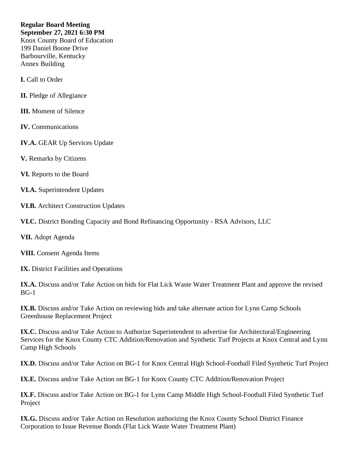## **Regular Board Meeting September 27, 2021 6:30 PM**

Knox County Board of Education 199 Daniel Boone Drive Barbourville, Kentucky Annex Building

**I.** Call to Order

- **II.** Pledge of Allegiance
- **III.** Moment of Silence
- **IV.** Communications
- **IV.A.** GEAR Up Services Update
- **V.** Remarks by Citizens
- **VI.** Reports to the Board
- **VI.A.** Superintendent Updates
- **VI.B.** Architect Construction Updates
- **VI.C.** District Bonding Capacity and Bond Refinancing Opportunity RSA Advisors, LLC
- **VII.** Adopt Agenda
- **VIII.** Consent Agenda Items
- **IX.** District Facilities and Operations
- **IX.A.** Discuss and/or Take Action on bids for Flat Lick Waste Water Treatment Plant and approve the revised BG-1
- **IX.B.** Discuss and/or Take Action on reviewing bids and take alternate action for Lynn Camp Schools Greenhouse Replacement Project
- **IX.C.** Discuss and/or Take Action to Authorize Superintendent to advertise for Architectural/Engineering Services for the Knox County CTC Addition/Renovation and Synthetic Turf Projects at Knox Central and Lynn Camp High Schools
- **IX.D.** Discuss and/or Take Action on BG-1 for Knox Central High School-Football Filed Synthetic Turf Project
- **IX.E.** Discuss and/or Take Action on BG-1 for Knox County CTC Addition/Renovation Project
- **IX.F.** Discuss and/or Take Action on BG-1 for Lynn Camp Middle High School-Football Filed Synthetic Turf Project
- **IX.G.** Discuss and/or Take Action on Resolution authorizing the Knox County School District Finance Corporation to Issue Revenue Bonds (Flat Lick Waste Water Treatment Plant)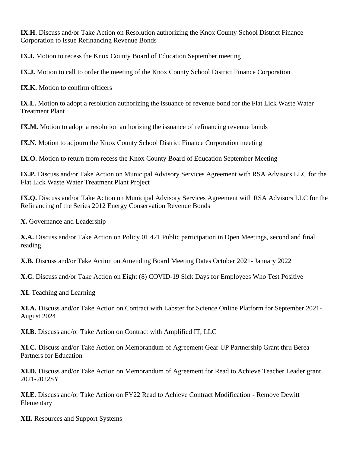**IX.H.** Discuss and/or Take Action on Resolution authorizing the Knox County School District Finance Corporation to Issue Refinancing Revenue Bonds

**IX.I.** Motion to recess the Knox County Board of Education September meeting

**IX.J.** Motion to call to order the meeting of the Knox County School District Finance Corporation

**IX.K.** Motion to confirm officers

**IX.L.** Motion to adopt a resolution authorizing the issuance of revenue bond for the Flat Lick Waste Water Treatment Plant

**IX.M.** Motion to adopt a resolution authorizing the issuance of refinancing revenue bonds

**IX.N.** Motion to adjourn the Knox County School District Finance Corporation meeting

**IX.O.** Motion to return from recess the Knox County Board of Education September Meeting

**IX.P.** Discuss and/or Take Action on Municipal Advisory Services Agreement with RSA Advisors LLC for the Flat Lick Waste Water Treatment Plant Project

**IX.Q.** Discuss and/or Take Action on Municipal Advisory Services Agreement with RSA Advisors LLC for the Refinancing of the Series 2012 Energy Conservation Revenue Bonds

**X.** Governance and Leadership

**X.A.** Discuss and/or Take Action on Policy 01.421 Public participation in Open Meetings, second and final reading

**X.B.** Discuss and/or Take Action on Amending Board Meeting Dates October 2021- January 2022

**X.C.** Discuss and/or Take Action on Eight (8) COVID-19 Sick Days for Employees Who Test Positive

**XI.** Teaching and Learning

**XI.A.** Discuss and/or Take Action on Contract with Labster for Science Online Platform for September 2021- August 2024

**XI.B.** Discuss and/or Take Action on Contract with Amplified IT, LLC

**XI.C.** Discuss and/or Take Action on Memorandum of Agreement Gear UP Partnership Grant thru Berea Partners for Education

**XI.D.** Discuss and/or Take Action on Memorandum of Agreement for Read to Achieve Teacher Leader grant 2021-2022SY

**XI.E.** Discuss and/or Take Action on FY22 Read to Achieve Contract Modification - Remove Dewitt Elementary

**XII.** Resources and Support Systems